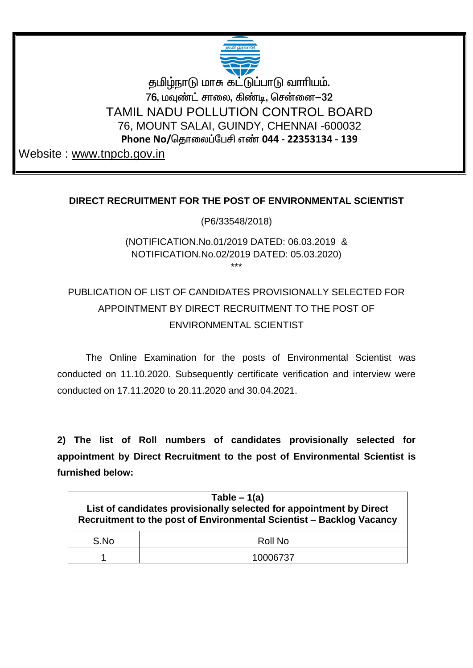

தமிழ்நாடு மாசு கட்டுப்பாடு வாரியம். 76, மவுண்ட் சாலை, கிண்டி, சென்னை—32 TAMIL NADU POLLUTION CONTROL BOARD 76, MOUNT SALAI, GUINDY, CHENNAI -600032 Phone No/தொலைப்பேசி எண் 044 - 22353134 - 139

Website: www.tnpcb.gov.in

## DIRECT RECRUITMENT FOR THE POST OF ENVIRONMENTAL SCIENTIST

(P6/33548/2018)

## (NOTIFICATION.No.01/2019 DATED: 06.03.2019 & NOTIFICATION.No.02/2019 DATED: 05.03.2020) بديدية

## PUBLICATION OF LIST OF CANDIDATES PROVISIONALLY SELECTED FOR APPOINTMENT BY DIRECT RECRUITMENT TO THE POST OF ENVIRONMENTAL SCIENTIST

The Online Examination for the posts of Environmental Scientist was conducted on 11.10.2020. Subsequently certificate verification and interview were conducted on 17 11 2020 to 20 11 2020 and 30 04 2021

2) The list of Roll numbers of candidates provisionally selected for appointment by Direct Recruitment to the post of Environmental Scientist is furnished below:

| Table $-1(a)$                                                                                                                               |          |  |  |  |  |  |
|---------------------------------------------------------------------------------------------------------------------------------------------|----------|--|--|--|--|--|
| List of candidates provisionally selected for appointment by Direct<br>Recruitment to the post of Environmental Scientist - Backlog Vacancy |          |  |  |  |  |  |
| S.No                                                                                                                                        | Roll No  |  |  |  |  |  |
|                                                                                                                                             | 10006737 |  |  |  |  |  |